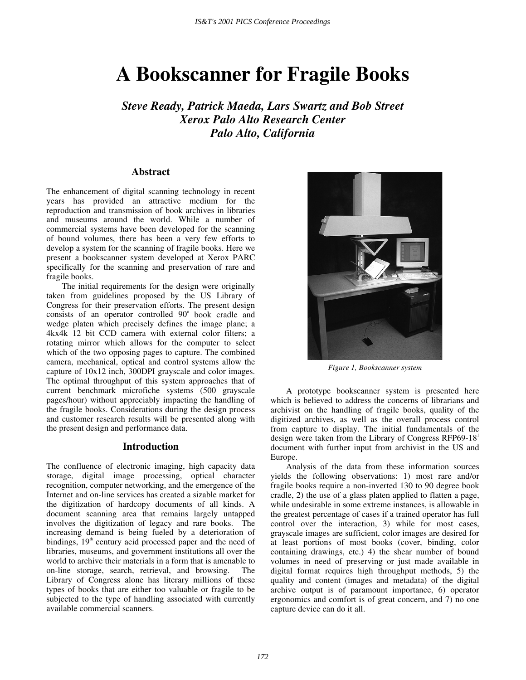# **A Bookscanner for Fragile Books**

*Steve Ready, Patrick Maeda, Lars Swartz and Bob Street Xerox Palo Alto Research Center Palo Alto, California* 

## **Abstract**

The enhancement of digital scanning technology in recent years has provided an attractive medium for the reproduction and transmission of book archives in libraries and museums around the world. While a number of commercial systems have been developed for the scanning of bound volumes, there has been a very few efforts to develop a system for the scanning of fragile books. Here we present a bookscanner system developed at Xerox PARC specifically for the scanning and preservation of rare and fragile books.

The initial requirements for the design were originally taken from guidelines proposed by the US Library of Congress for their preservation efforts. The present design consists of an operator controlled 90° book cradle and wedge platen which precisely defines the image plane; a 4kx4k 12 bit CCD camera with external color filters; a rotating mirror which allows for the computer to select which of the two opposing pages to capture. The combined camera, mechanical, optical and control systems allow the capture of 10x12 inch, 300DPI grayscale and color images. The optimal throughput of this system approaches that of current benchmark microfiche systems (500 grayscale pages/hour) without appreciably impacting the handling of the fragile books. Considerations during the design process and customer research results will be presented along with the present design and performance data.

## **Introduction**

The confluence of electronic imaging, high capacity data storage, digital image processing, optical character recognition, computer networking, and the emergence of the Internet and on-line services has created a sizable market for the digitization of hardcopy documents of all kinds. A document scanning area that remains largely untapped involves the digitization of legacy and rare books. The increasing demand is being fueled by a deterioration of bindings,  $19<sup>th</sup>$  century acid processed paper and the need of libraries, museums, and government institutions all over the world to archive their materials in a form that is amenable to on-line storage, search, retrieval, and browsing. The Library of Congress alone has literary millions of these types of books that are either too valuable or fragile to be subjected to the type of handling associated with currently available commercial scanners.



*Figure 1, Bookscanner system* 

A prototype bookscanner system is presented here which is believed to address the concerns of librarians and archivist on the handling of fragile books, quality of the digitized archives, as well as the overall process control from capture to display. The initial fundamentals of the design were taken from the Library of Congress RFP69-18<sup>1</sup> document with further input from archivist in the US and Europe.

Analysis of the data from these information sources yields the following observations: 1) most rare and/or fragile books require a non-inverted 130 to 90 degree book cradle, 2) the use of a glass platen applied to flatten a page, while undesirable in some extreme instances, is allowable in the greatest percentage of cases if a trained operator has full control over the interaction, 3) while for most cases, grayscale images are sufficient, color images are desired for at least portions of most books (cover, binding, color containing drawings, etc.) 4) the shear number of bound volumes in need of preserving or just made available in digital format requires high throughput methods, 5) the quality and content (images and metadata) of the digital archive output is of paramount importance, 6) operator ergonomics and comfort is of great concern, and 7) no one capture device can do it all.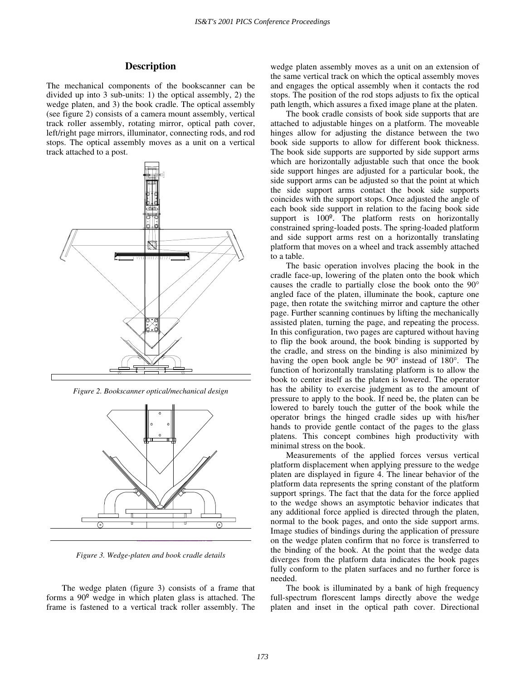## **Description**

The mechanical components of the bookscanner can be divided up into 3 sub-units: 1) the optical assembly, 2) the wedge platen, and 3) the book cradle. The optical assembly (see figure 2) consists of a camera mount assembly, vertical track roller assembly, rotating mirror, optical path cover, left/right page mirrors, illuminator, connecting rods, and rod stops. The optical assembly moves as a unit on a vertical track attached to a post.



*Figure 2. Bookscanner optical/mechanical design* 



*Figure 3. Wedge-platen and book cradle details* 

The wedge platen (figure 3) consists of a frame that forms a 90º wedge in which platen glass is attached. The frame is fastened to a vertical track roller assembly. The wedge platen assembly moves as a unit on an extension of the same vertical track on which the optical assembly moves and engages the optical assembly when it contacts the rod stops. The position of the rod stops adjusts to fix the optical path length, which assures a fixed image plane at the platen.

The book cradle consists of book side supports that are attached to adjustable hinges on a platform. The moveable hinges allow for adjusting the distance between the two book side supports to allow for different book thickness. The book side supports are supported by side support arms which are horizontally adjustable such that once the book side support hinges are adjusted for a particular book, the side support arms can be adjusted so that the point at which the side support arms contact the book side supports coincides with the support stops. Once adjusted the angle of each book side support in relation to the facing book side support is 100º. The platform rests on horizontally constrained spring-loaded posts. The spring-loaded platform and side support arms rest on a horizontally translating platform that moves on a wheel and track assembly attached to a table.

The basic operation involves placing the book in the cradle face-up, lowering of the platen onto the book which causes the cradle to partially close the book onto the 90° angled face of the platen, illuminate the book, capture one page, then rotate the switching mirror and capture the other page. Further scanning continues by lifting the mechanically assisted platen, turning the page, and repeating the process. In this configuration, two pages are captured without having to flip the book around, the book binding is supported by the cradle, and stress on the binding is also minimized by having the open book angle be 90° instead of 180°. The function of horizontally translating platform is to allow the book to center itself as the platen is lowered. The operator has the ability to exercise judgment as to the amount of pressure to apply to the book. If need be, the platen can be lowered to barely touch the gutter of the book while the operator brings the hinged cradle sides up with his/her hands to provide gentle contact of the pages to the glass platens. This concept combines high productivity with minimal stress on the book.

Measurements of the applied forces versus vertical platform displacement when applying pressure to the wedge platen are displayed in figure 4. The linear behavior of the platform data represents the spring constant of the platform support springs. The fact that the data for the force applied to the wedge shows an asymptotic behavior indicates that any additional force applied is directed through the platen, normal to the book pages, and onto the side support arms. Image studies of bindings during the application of pressure on the wedge platen confirm that no force is transferred to the binding of the book. At the point that the wedge data diverges from the platform data indicates the book pages fully conform to the platen surfaces and no further force is needed.

The book is illuminated by a bank of high frequency full-spectrum florescent lamps directly above the wedge platen and inset in the optical path cover. Directional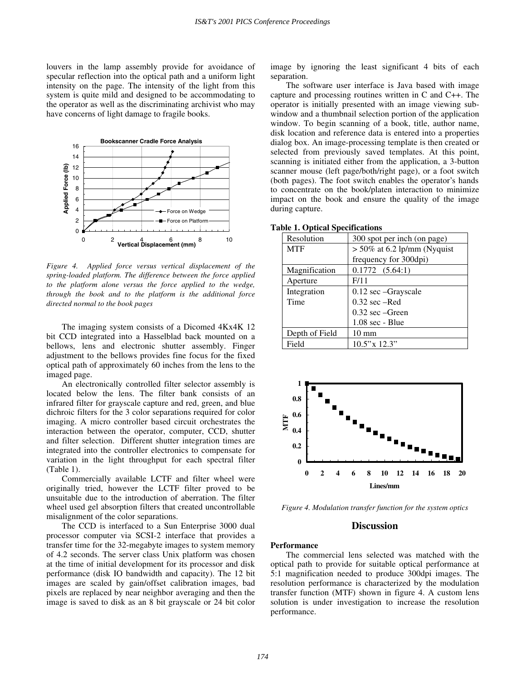louvers in the lamp assembly provide for avoidance of specular reflection into the optical path and a uniform light intensity on the page. The intensity of the light from this system is quite mild and designed to be accommodating to the operator as well as the discriminating archivist who may have concerns of light damage to fragile books.



*Figure 4. Applied force versus vertical displacement of the spring-loaded platform. The difference between the force applied to the platform alone versus the force applied to the wedge, through the book and to the platform is the additional force directed normal to the book pages* 

The imaging system consists of a Dicomed 4Kx4K 12 bit CCD integrated into a Hasselblad back mounted on a bellows, lens and electronic shutter assembly. Finger adjustment to the bellows provides fine focus for the fixed optical path of approximately 60 inches from the lens to the imaged page.

An electronically controlled filter selector assembly is located below the lens. The filter bank consists of an infrared filter for grayscale capture and red, green, and blue dichroic filters for the 3 color separations required for color imaging. A micro controller based circuit orchestrates the interaction between the operator, computer, CCD, shutter and filter selection. Different shutter integration times are integrated into the controller electronics to compensate for variation in the light throughput for each spectral filter (Table 1).

Commercially available LCTF and filter wheel were originally tried, however the LCTF filter proved to be unsuitable due to the introduction of aberration. The filter wheel used gel absorption filters that created uncontrollable misalignment of the color separations.

The CCD is interfaced to a Sun Enterprise 3000 dual processor computer via SCSI-2 interface that provides a transfer time for the 32-megabyte images to system memory of 4.2 seconds. The server class Unix platform was chosen at the time of initial development for its processor and disk performance (disk IO bandwidth and capacity). The 12 bit images are scaled by gain/offset calibration images, bad pixels are replaced by near neighbor averaging and then the image is saved to disk as an 8 bit grayscale or 24 bit color image by ignoring the least significant 4 bits of each separation.

The software user interface is Java based with image capture and processing routines written in C and C++. The operator is initially presented with an image viewing subwindow and a thumbnail selection portion of the application window. To begin scanning of a book, title, author name, disk location and reference data is entered into a properties dialog box. An image-processing template is then created or selected from previously saved templates. At this point, scanning is initiated either from the application, a 3-button scanner mouse (left page/both/right page), or a foot switch (both pages). The foot switch enables the operator's hands to concentrate on the book/platen interaction to minimize impact on the book and ensure the quality of the image during capture.

|  |  | <b>Table 1. Optical Specifications</b> |
|--|--|----------------------------------------|
|--|--|----------------------------------------|

| Resolution     | 300 spot per inch (on page)    |  |
|----------------|--------------------------------|--|
| <b>MTF</b>     | $> 50\%$ at 6.2 lp/mm (Nyquist |  |
|                | frequency for 300dpi)          |  |
| Magnification  | 0.1772(5.64:1)                 |  |
| Aperture       | F/11                           |  |
| Integration    | $0.12 \text{ sec}$ -Grayscale  |  |
| Time           | $0.32$ sec $-Red$              |  |
|                | $0.32 \text{ sec}$ –Green      |  |
|                | $1.08 \text{ sec}$ - Blue      |  |
| Depth of Field | $10 \text{ mm}$                |  |
| Field          | $10.5$ "x $12.3$ "             |  |



*Figure 4. Modulation transfer function for the system optics* 

### **Discussion**

#### **Performance**

The commercial lens selected was matched with the optical path to provide for suitable optical performance at 5:1 magnification needed to produce 300dpi images. The resolution performance is characterized by the modulation transfer function (MTF) shown in figure 4. A custom lens solution is under investigation to increase the resolution performance.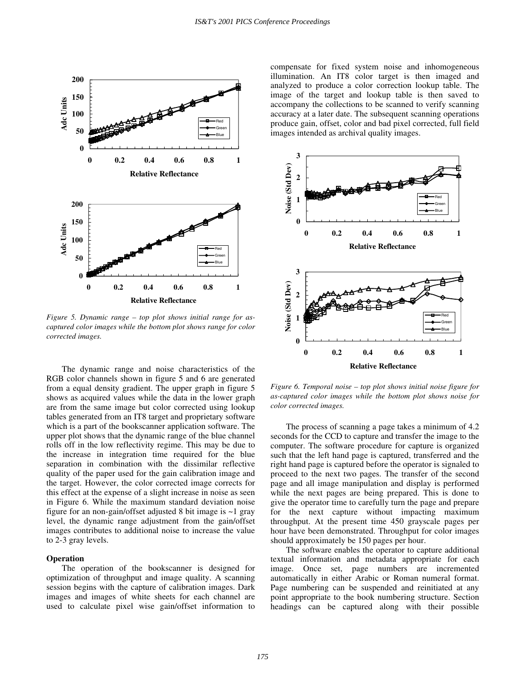

*Figure 5. Dynamic range – top plot shows initial range for ascaptured color images while the bottom plot shows range for color corrected images.* 

The dynamic range and noise characteristics of the RGB color channels shown in figure 5 and 6 are generated from a equal density gradient. The upper graph in figure 5 shows as acquired values while the data in the lower graph are from the same image but color corrected using lookup tables generated from an IT8 target and proprietary software which is a part of the bookscanner application software. The upper plot shows that the dynamic range of the blue channel rolls off in the low reflectivity regime. This may be due to the increase in integration time required for the blue separation in combination with the dissimilar reflective quality of the paper used for the gain calibration image and the target. However, the color corrected image corrects for this effect at the expense of a slight increase in noise as seen in Figure 6. While the maximum standard deviation noise figure for an non-gain/offset adjusted 8 bit image is ~1 gray level, the dynamic range adjustment from the gain/offset images contributes to additional noise to increase the value to 2-3 gray levels.

#### **Operation**

The operation of the bookscanner is designed for optimization of throughput and image quality. A scanning session begins with the capture of calibration images. Dark images and images of white sheets for each channel are used to calculate pixel wise gain/offset information to compensate for fixed system noise and inhomogeneous illumination. An IT8 color target is then imaged and analyzed to produce a color correction lookup table. The image of the target and lookup table is then saved to accompany the collections to be scanned to verify scanning accuracy at a later date. The subsequent scanning operations produce gain, offset, color and bad pixel corrected, full field images intended as archival quality images.



*Figure 6. Temporal noise – top plot shows initial noise figure for as-captured color images while the bottom plot shows noise for color corrected images.* 

The process of scanning a page takes a minimum of 4.2 seconds for the CCD to capture and transfer the image to the computer. The software procedure for capture is organized such that the left hand page is captured, transferred and the right hand page is captured before the operator is signaled to proceed to the next two pages. The transfer of the second page and all image manipulation and display is performed while the next pages are being prepared. This is done to give the operator time to carefully turn the page and prepare for the next capture without impacting maximum throughput. At the present time 450 grayscale pages per hour have been demonstrated. Throughput for color images should approximately be 150 pages per hour.

The software enables the operator to capture additional textual information and metadata appropriate for each image. Once set, page numbers are incremented automatically in either Arabic or Roman numeral format. Page numbering can be suspended and reinitiated at any point appropriate to the book numbering structure. Section headings can be captured along with their possible